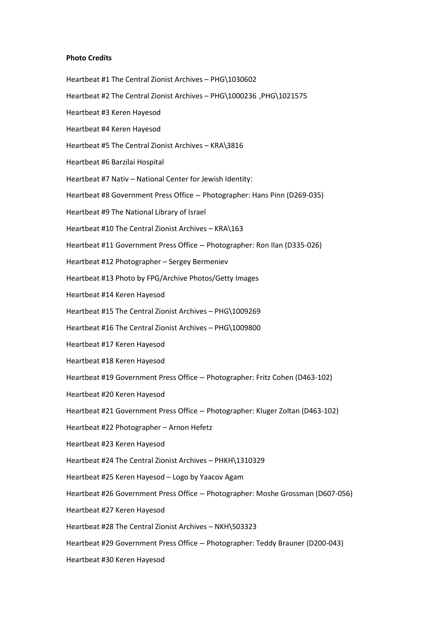## **Photo Credits**

Heartbeat #1 The Central Zionist Archives – PHG\1030602 Heartbeat #2 The Central Zionist Archives – PHG\1000236 ,PHG\1021575 Heartbeat #3 Keren Hayesod Heartbeat #4 Keren Hayesod Heartbeat #5 The Central Zionist Archives – KRA\3816 Heartbeat #6 Barzilai Hospital Heartbeat #7 Nativ – National Center for Jewish Identity : Heartbeat #8 Government Press Office – Photographer: Hans Pinn (D269-035) Heartbeat #9 The National Library of Israel Heartbeat #10 The Central Zionist Archives – KRA\163 Heartbeat #11 Government Press Office – Photographer: Ron Ilan (D335-026) Heartbeat #12 Photographer – Sergey Bermeniev Heartbeat #13 Photo by FPG/Archive Photos/Getty Images Heartbeat #14 Keren Hayesod Heartbeat #15 The Central Zionist Archives – PHG\1009269 Heartbeat #16 The Central Zionist Archives – PHG\1009800 Heartbeat #17 Keren Hayesod Heartbeat #18 Keren Hayesod Heartbeat #19 Government Press Office – Photographer: Fritz Cohen (D463-102) Heartbeat #20 Keren Hayesod Heartbeat #21 Government Press Office – Photographer: Kluger Zoltan (D463-102) Heartbeat #22 Photographer – Arnon Hefetz Heartbeat #23 Keren Hayesod Heartbeat #24 The Central Zionist Archives – PHKH\1310329 Heartbeat #25 Keren Hayesod – Logo by Yaacov Agam Heartbeat #26 Government Press Office – Photographer: Moshe Grossman (D607-056) Heartbeat #27 Keren Hayesod Heartbeat #28 The Central Zionist Archives – NKH\503323 Heartbeat #29 Government Press Office – Photographer: Teddy Brauner (D200-043) Heartbeat #30 Keren Hayesod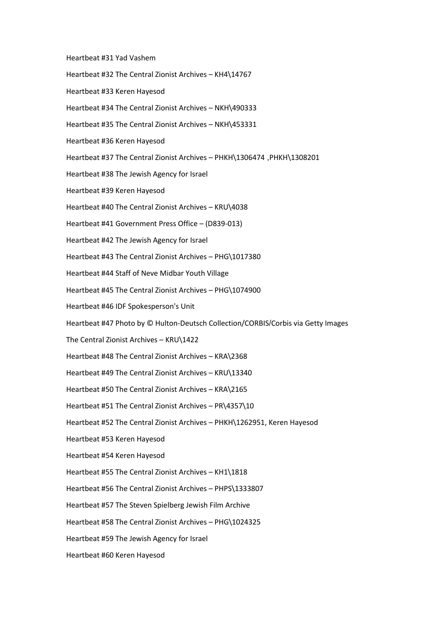Heartbeat #31 Yad Vashem Heartbeat #32 The Central Zionist Archives – KH4\14767 Heartbeat #33 Keren Hayesod Heartbeat #34 The Central Zionist Archives – NKH\490333 Heartbeat #35 The Central Zionist Archives – NKH\453331 Heartbeat #36 Keren Hayesod Heartbeat #37 The Central Zionist Archives – PHKH\1306474 ,PHKH\1308201 Heartbeat #38 The Jewish Agency for Israel Heartbeat #39 Keren Hayesod Heartbeat #40 The Central Zionist Archives – KRU\4038 Heartbeat #41 Government Press Office – (D839-013) Heartbeat #42 The Jewish Agency for Israel Heartbeat #43 The Central Zionist Archives – PHG\1017380 Heartbeat #44 Staff of Neve Midbar Youth Village Heartbeat #45 The Central Zionist Archives – PHG\1074900 Heartbeat #46 IDF Spokesperson's Unit Heartbeat #47 Photo by © Hulton-Deutsch Collection/CORBIS/Corbis via Getty Images The Central Zionist Archives – KRU\1422 Heartbeat #48 The Central Zionist Archives – KRA\2368 Heartbeat #49 The Central Zionist Archives – KRU\13340 Heartbeat #50 The Central Zionist Archives – KRA\2165 Heartbeat #51 The Central Zionist Archives – PR\4357\10 Heartbeat #52 The Central Zionist Archives – PHKH\1262951, Keren Hayesod Heartbeat #53 Keren Hayesod Heartbeat #54 Keren Hayesod Heartbeat #55 The Central Zionist Archives – KH1\1818 Heartbeat #56 The Central Zionist Archives – PHPS\1333807 Heartbeat #57 The Steven Spielberg Jewish Film Archive Heartbeat #58 The Central Zionist Archives – PHG\1024325 Heartbeat #59 The Jewish Agency for Israel Heartbeat #60 Keren Hayesod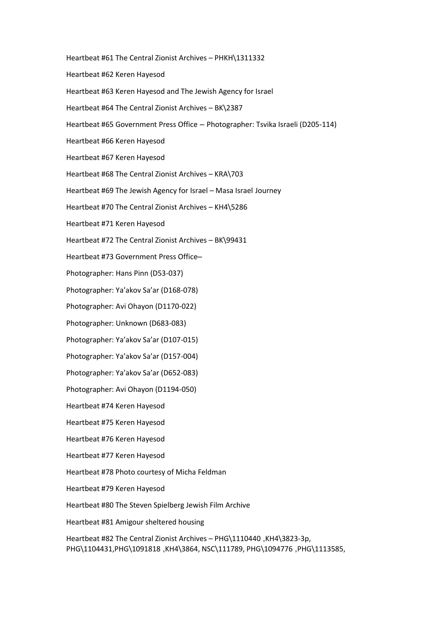Heartbeat #61 The Central Zionist Archives – PHKH\1311332 Heartbeat #62 Keren Hayesod Heartbeat #63 Keren Hayesod and The Jewish Agency for Israel Heartbeat #64 The Central Zionist Archives – BK\2387 Heartbeat #65 Government Press Office – Photographer: Tsvika Israeli (D205-114) Heartbeat #66 Keren Hayesod Heartbeat #67 Keren Hayesod Heartbeat #68 The Central Zionist Archives – KRA\703 Heartbeat #69 The Jewish Agency for Israel – Masa Israel Journey Heartbeat #70 The Central Zionist Archives – KH4\5286 Heartbeat #71 Keren Hayesod Heartbeat #72 The Central Zionist Archives – BK\99431 Heartbeat #73 Government Press Office-Photographer: Hans Pinn (D53-037) Photographer: Ya'akov Sa'ar (D168-078) Photographer: Avi Ohayon (D1170-022) Photographer: Unknown (D683-083) Photographer: Ya'akov Sa'ar (D107-015) Photographer: Ya'akov Sa'ar (D157-004) Photographer: Ya'akov Sa'ar (D652-083) Photographer: Avi Ohayon (D1194-050) Heartbeat #74 Keren Hayesod Heartbeat #75 Keren Hayesod Heartbeat #76 Keren Hayesod Heartbeat #77 Keren Hayesod Heartbeat #78 Photo courtesy of Micha Feldman Heartbeat #79 Keren Hayesod Heartbeat #80 The Steven Spielberg Jewish Film Archive Heartbeat #81 Amigour sheltered housing

Heartbeat #82 The Central Zionist Archives - PHG\1110440,KH4\3823-3p, PHG\1104431,PHG\1091818 ,KH4\3864, NSC\111789, PHG\1094776 ,PHG\1113585,